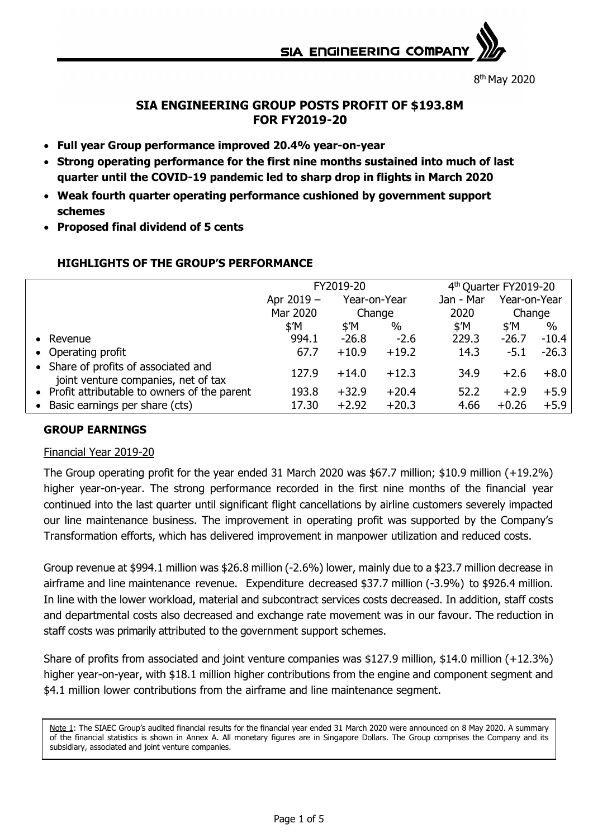**SIA ENGINEERING COMPAR** 

8 th May 2020

# **SIA ENGINEERING GROUP POSTS PROFIT OF \$193.8M FOR FY2019-20**

- **Full year Group performance improved 20.4% year-on-year**
- **Strong operating performance for the first nine months sustained into much of last quarter until the COVID-19 pandemic led to sharp drop in flights in March 2020**
- **Weak fourth quarter operating performance cushioned by government support schemes**
- **Proposed final dividend of 5 cents**

|                                                                             | FY2019-20      |                |         | 4 <sup>th</sup> Quarter FY2019-20 |                |         |
|-----------------------------------------------------------------------------|----------------|----------------|---------|-----------------------------------|----------------|---------|
|                                                                             | Apr 2019 -     | Year-on-Year   |         | Jan - Mar                         | Year-on-Year   |         |
|                                                                             | Mar 2020       | Change         |         | 2020                              | Change         |         |
|                                                                             | $$^{\prime}$ M | $$^{\prime}$ M | $\%$    | \$'M                              | $$^{\prime}$ M | $\%$    |
| • Revenue                                                                   | 994.1          | $-26.8$        | $-2.6$  | 229.3                             | $-26.7$        | $-10.4$ |
| • Operating profit                                                          | 67.7           | $+10.9$        | $+19.2$ | 14.3                              | $-5.1$         | $-26.3$ |
| • Share of profits of associated and<br>joint venture companies, net of tax | 127.9          | $+14.0$        | $+12.3$ | 34.9                              | $+2.6$         | $+8.0$  |
| • Profit attributable to owners of the parent                               | 193.8          | $+32.9$        | $+20.4$ | 52.2                              | $+2.9$         | $+5.9$  |
| • Basic earnings per share (cts)                                            | 17.30          | $+2.92$        | $+20.3$ | 4.66                              | $+0.26$        | $+5.9$  |

## **HIGHLIGHTS OF THE GROUP'S PERFORMANCE**

### **GROUP EARNINGS**

#### Financial Year 2019-20

The Group operating profit for the year ended 31 March 2020 was \$67.7 million; \$10.9 million (+19.2%) higher year-on-year. The strong performance recorded in the first nine months of the financial year continued into the last quarter until significant flight cancellations by airline customers severely impacted our line maintenance business. The improvement in operating profit was supported by the Company's Transformation efforts, which has delivered improvement in manpower utilization and reduced costs.

Group revenue at \$994.1 million was \$26.8 million (-2.6%) lower, mainly due to a \$23.7 million decrease in airframe and line maintenance revenue. Expenditure decreased \$37.7 million (-3.9%) to \$926.4 million. In line with the lower workload, material and subcontract services costs decreased. In addition, staff costs and departmental costs also decreased and exchange rate movement was in our favour. The reduction in staff costs was primarily attributed to the government support schemes.

Share of profits from associated and joint venture companies was \$127.9 million, \$14.0 million (+12.3%) higher year-on-year, with \$18.1 million higher contributions from the engine and component segment and \$4.1 million lower contributions from the airframe and line maintenance segment.

Note 1: The SIAEC Group's audited financial results for the financial year ended 31 March 2020 were announced on 8 May 2020. A summary of the financial statistics is shown in Annex A. All monetary figures are in Singapore Dollars. The Group comprises the Company and its subsidiary, associated and joint venture companies.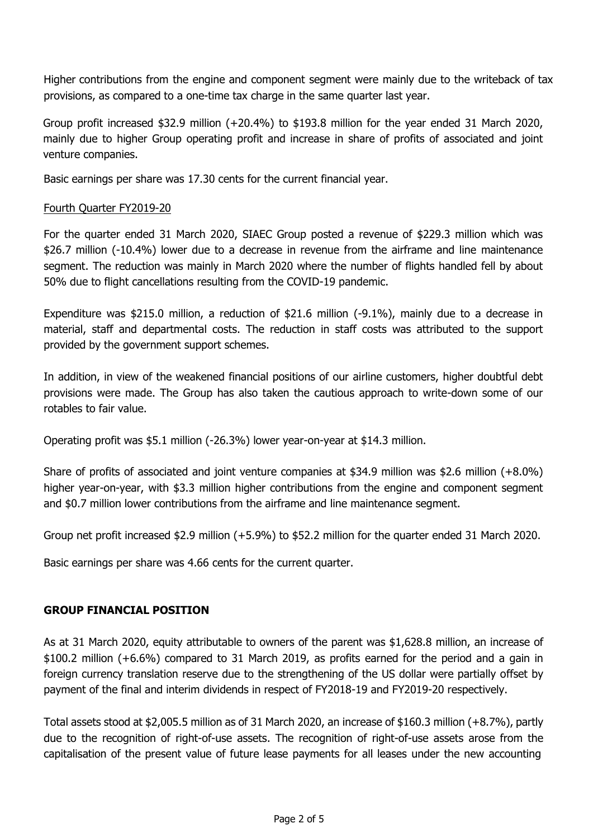Higher contributions from the engine and component segment were mainly due to the writeback of tax provisions, as compared to a one-time tax charge in the same quarter last year.

Group profit increased \$32.9 million (+20.4%) to \$193.8 million for the year ended 31 March 2020, mainly due to higher Group operating profit and increase in share of profits of associated and joint venture companies.

Basic earnings per share was 17.30 cents for the current financial year.

#### Fourth Quarter FY2019-20

For the quarter ended 31 March 2020, SIAEC Group posted a revenue of \$229.3 million which was \$26.7 million (-10.4%) lower due to a decrease in revenue from the airframe and line maintenance segment. The reduction was mainly in March 2020 where the number of flights handled fell by about 50% due to flight cancellations resulting from the COVID-19 pandemic.

Expenditure was \$215.0 million, a reduction of \$21.6 million (-9.1%), mainly due to a decrease in material, staff and departmental costs. The reduction in staff costs was attributed to the support provided by the government support schemes.

In addition, in view of the weakened financial positions of our airline customers, higher doubtful debt provisions were made. The Group has also taken the cautious approach to write-down some of our rotables to fair value.

Operating profit was \$5.1 million (-26.3%) lower year-on-year at \$14.3 million.

Share of profits of associated and joint venture companies at \$34.9 million was \$2.6 million (+8.0%) higher year-on-year, with \$3.3 million higher contributions from the engine and component segment and \$0.7 million lower contributions from the airframe and line maintenance segment.

Group net profit increased \$2.9 million (+5.9%) to \$52.2 million for the quarter ended 31 March 2020.

Basic earnings per share was 4.66 cents for the current quarter.

### **GROUP FINANCIAL POSITION**

As at 31 March 2020, equity attributable to owners of the parent was \$1,628.8 million, an increase of \$100.2 million (+6.6%) compared to 31 March 2019, as profits earned for the period and a gain in foreign currency translation reserve due to the strengthening of the US dollar were partially offset by payment of the final and interim dividends in respect of FY2018-19 and FY2019-20 respectively.

Total assets stood at \$2,005.5 million as of 31 March 2020, an increase of \$160.3 million (+8.7%), partly due to the recognition of right-of-use assets. The recognition of right-of-use assets arose from the capitalisation of the present value of future lease payments for all leases under the new accounting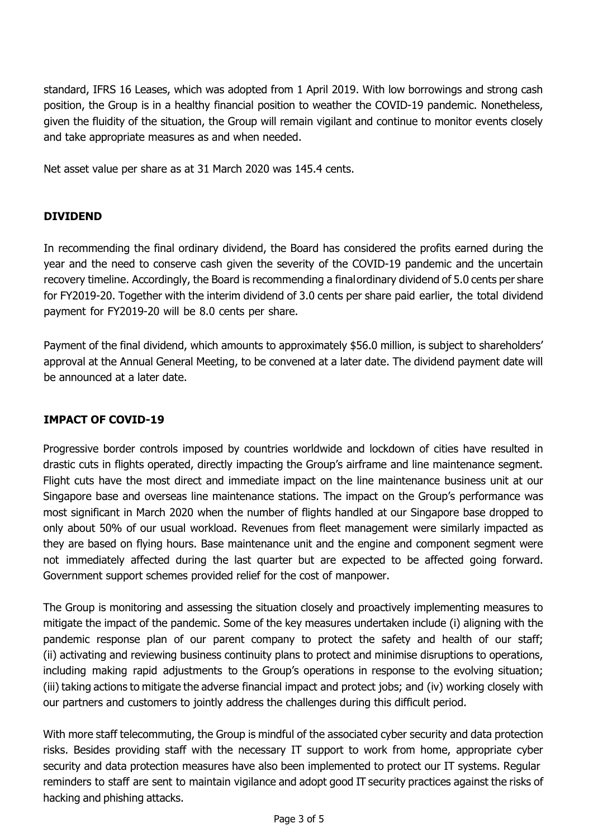standard, IFRS 16 Leases, which was adopted from 1 April 2019. With low borrowings and strong cash position, the Group is in a healthy financial position to weather the COVID-19 pandemic. Nonetheless, given the fluidity of the situation, the Group will remain vigilant and continue to monitor events closely and take appropriate measures as and when needed.

Net asset value per share as at 31 March 2020 was 145.4 cents.

## **DIVIDEND**

In recommending the final ordinary dividend, the Board has considered the profits earned during the year and the need to conserve cash given the severity of the COVID-19 pandemic and the uncertain recovery timeline. Accordingly, the Board is recommending a finalordinary dividend of 5.0 cents per share for FY2019-20. Together with the interim dividend of 3.0 cents per share paid earlier, the total dividend payment for FY2019-20 will be 8.0 cents per share.

Payment of the final dividend, which amounts to approximately \$56.0 million, is subject to shareholders' approval at the Annual General Meeting, to be convened at a later date. The dividend payment date will be announced at a later date.

# **IMPACT OF COVID-19**

Progressive border controls imposed by countries worldwide and lockdown of cities have resulted in drastic cuts in flights operated, directly impacting the Group's airframe and line maintenance segment. Flight cuts have the most direct and immediate impact on the line maintenance business unit at our Singapore base and overseas line maintenance stations. The impact on the Group's performance was most significant in March 2020 when the number of flights handled at our Singapore base dropped to only about 50% of our usual workload. Revenues from fleet management were similarly impacted as they are based on flying hours. Base maintenance unit and the engine and component segment were not immediately affected during the last quarter but are expected to be affected going forward. Government support schemes provided relief for the cost of manpower.

The Group is monitoring and assessing the situation closely and proactively implementing measures to mitigate the impact of the pandemic. Some of the key measures undertaken include (i) aligning with the pandemic response plan of our parent company to protect the safety and health of our staff; (ii) activating and reviewing business continuity plans to protect and minimise disruptions to operations, including making rapid adjustments to the Group's operations in response to the evolving situation; (iii) taking actions to mitigate the adverse financial impact and protect jobs; and (iv) working closely with our partners and customers to jointly address the challenges during this difficult period.

With more staff telecommuting, the Group is mindful of the associated cyber security and data protection risks. Besides providing staff with the necessary IT support to work from home, appropriate cyber security and data protection measures have also been implemented to protect our IT systems. Regular reminders to staff are sent to maintain vigilance and adopt good IT security practices against the risks of hacking and phishing attacks.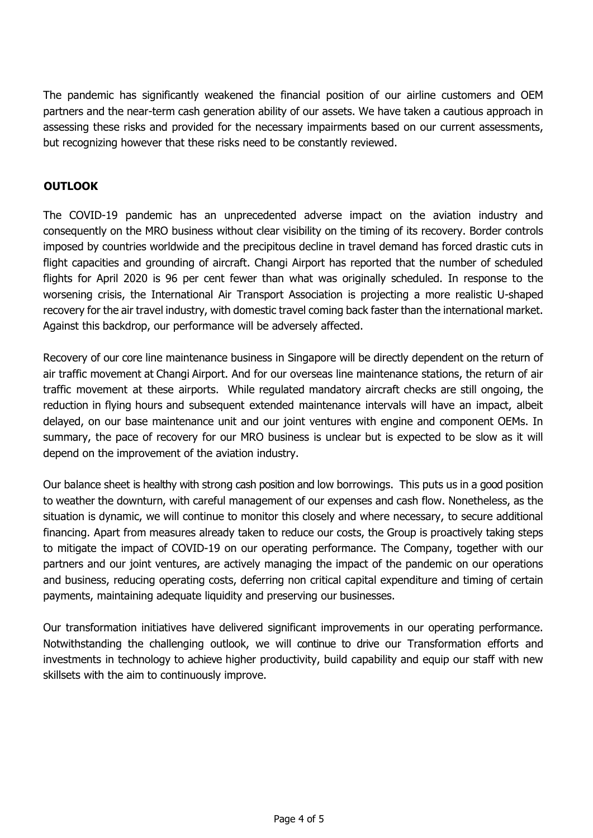The pandemic has significantly weakened the financial position of our airline customers and OEM partners and the near-term cash generation ability of our assets. We have taken a cautious approach in assessing these risks and provided for the necessary impairments based on our current assessments, but recognizing however that these risks need to be constantly reviewed.

## **OUTLOOK**

The COVID-19 pandemic has an unprecedented adverse impact on the aviation industry and consequently on the MRO business without clear visibility on the timing of its recovery. Border controls imposed by countries worldwide and the precipitous decline in travel demand has forced drastic cuts in flight capacities and grounding of aircraft. Changi Airport has reported that the number of scheduled flights for April 2020 is 96 per cent fewer than what was originally scheduled. In response to the worsening crisis, the International Air Transport Association is projecting a more realistic U-shaped recovery for the air travel industry, with domestic travel coming back faster than the international market. Against this backdrop, our performance will be adversely affected.

Recovery of our core line maintenance business in Singapore will be directly dependent on the return of air traffic movement at Changi Airport. And for our overseas line maintenance stations, the return of air traffic movement at these airports. While regulated mandatory aircraft checks are still ongoing, the reduction in flying hours and subsequent extended maintenance intervals will have an impact, albeit delayed, on our base maintenance unit and our joint ventures with engine and component OEMs. In summary, the pace of recovery for our MRO business is unclear but is expected to be slow as it will depend on the improvement of the aviation industry.

Our balance sheet is healthy with strong cash position and low borrowings. This puts us in a good position to weather the downturn, with careful management of our expenses and cash flow. Nonetheless, as the situation is dynamic, we will continue to monitor this closely and where necessary, to secure additional financing. Apart from measures already taken to reduce our costs, the Group is proactively taking steps to mitigate the impact of COVID-19 on our operating performance. The Company, together with our partners and our joint ventures, are actively managing the impact of the pandemic on our operations and business, reducing operating costs, deferring non critical capital expenditure and timing of certain payments, maintaining adequate liquidity and preserving our businesses.

Our transformation initiatives have delivered significant improvements in our operating performance. Notwithstanding the challenging outlook, we will continue to drive our Transformation efforts and investments in technology to achieve higher productivity, build capability and equip our staff with new skillsets with the aim to continuously improve.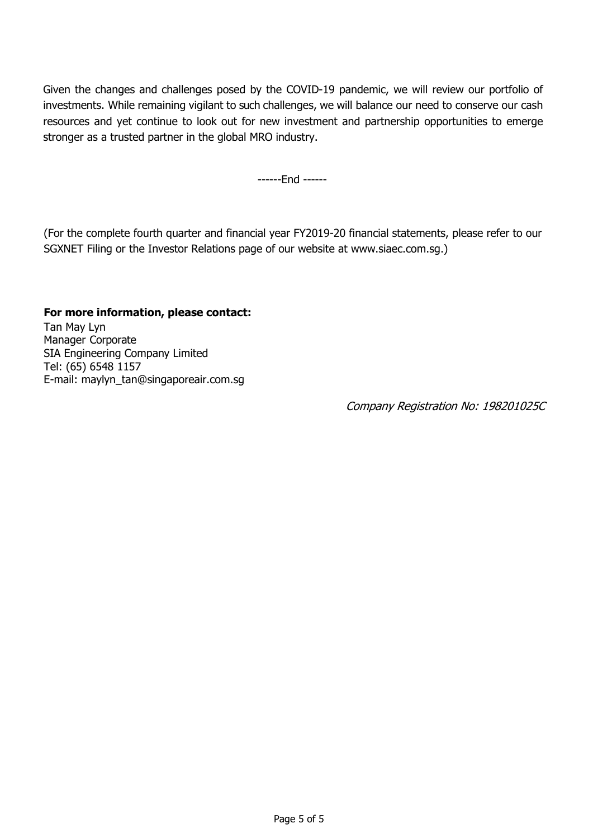Given the changes and challenges posed by the COVID-19 pandemic, we will review our portfolio of investments. While remaining vigilant to such challenges, we will balance our need to conserve our cash resources and yet continue to look out for new investment and partnership opportunities to emerge stronger as a trusted partner in the global MRO industry.

------End ------

(For the complete fourth quarter and financial year FY2019-20 financial statements, please refer to our SGXNET Filing or the Investor Relations page of our website at www.siaec.com.sg.)

### **For more information, please contact:**

Tan May Lyn Manager Corporate SIA Engineering Company Limited Tel: (65) 6548 1157 E-mail: [maylyn\\_tan@singaporeair.com.sg](mailto:maylyn_tan@singaporeair.com.sg)

Company Registration No: 198201025C